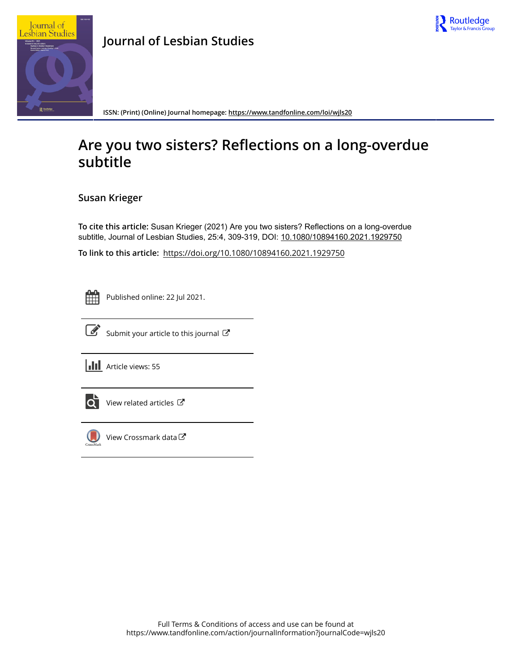



**Journal of Lesbian Studies**

**ISSN: (Print) (Online) Journal homepage:<https://www.tandfonline.com/loi/wjls20>**

# **Are you two sisters? Reflections on a long-overdue subtitle**

**Susan Krieger**

**To cite this article:** Susan Krieger (2021) Are you two sisters? Reflections on a long-overdue subtitle, Journal of Lesbian Studies, 25:4, 309-319, DOI: [10.1080/10894160.2021.1929750](https://www.tandfonline.com/action/showCitFormats?doi=10.1080/10894160.2021.1929750)

**To link to this article:** <https://doi.org/10.1080/10894160.2021.1929750>

Published online: 22 Jul 2021.



 $\overrightarrow{S}$  [Submit your article to this journal](https://www.tandfonline.com/action/authorSubmission?journalCode=wjls20&show=instructions)  $\overrightarrow{S}$ 

**III** Article views: 55



 $\overrightarrow{Q}$  [View related articles](https://www.tandfonline.com/doi/mlt/10.1080/10894160.2021.1929750)  $\overrightarrow{C}$ 



[View Crossmark data](http://crossmark.crossref.org/dialog/?doi=10.1080/10894160.2021.1929750&domain=pdf&date_stamp=2021-07-22) $\mathbb{C}$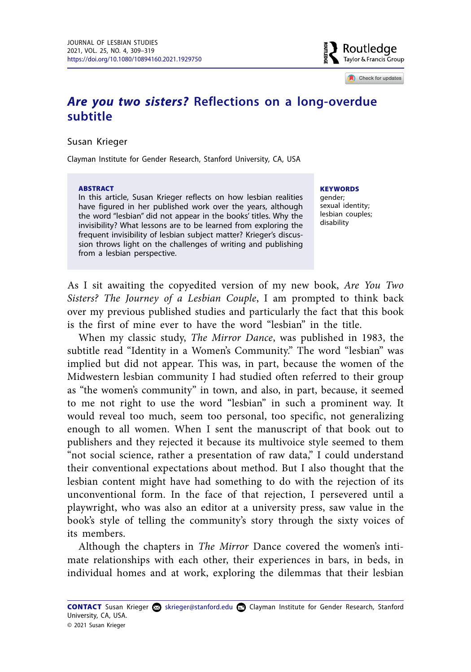

Check for updates

# *Are you two sisters?* **Reflections on a long-overdue subtitle**

Susan Krieger

Clayman Institute for Gender Research, Stanford University, CA, USA

#### ABSTRACT

In this article, Susan Krieger reflects on how lesbian realities have figured in her published work over the years, although the word "lesbian" did not appear in the books' titles. Why the invisibility? What lessons are to be learned from exploring the frequent invisibility of lesbian subject matter? Krieger's discussion throws light on the challenges of writing and publishing from a lesbian perspective.

**KEYWORDS** 

gender; sexual identity; lesbian couples; disability

As I sit awaiting the copyedited version of my new book, *Are You Two Sisters? The Journey of a Lesbian Couple*, I am prompted to think back over my previous published studies and particularly the fact that this book is the first of mine ever to have the word "lesbian" in the title.

When my classic study, *The Mirror Dance*, was published in 1983, the subtitle read "Identity in a Women's Community." The word "lesbian" was implied but did not appear. This was, in part, because the women of the Midwestern lesbian community I had studied often referred to their group as "the women's community" in town, and also, in part, because, it seemed to me not right to use the word "lesbian" in such a prominent way. It would reveal too much, seem too personal, too specific, not generalizing enough to all women. When I sent the manuscript of that book out to publishers and they rejected it because its multivoice style seemed to them "not social science, rather a presentation of raw data," I could understand their conventional expectations about method. But I also thought that the lesbian content might have had something to do with the rejection of its unconventional form. In the face of that rejection, I persevered until a playwright, who was also an editor at a university press, saw value in the book's style of telling the community's story through the sixty voices of its members.

Although the chapters in *The Mirror* Dance covered the women's intimate relationships with each other, their experiences in bars, in beds, in individual homes and at work, exploring the dilemmas that their lesbian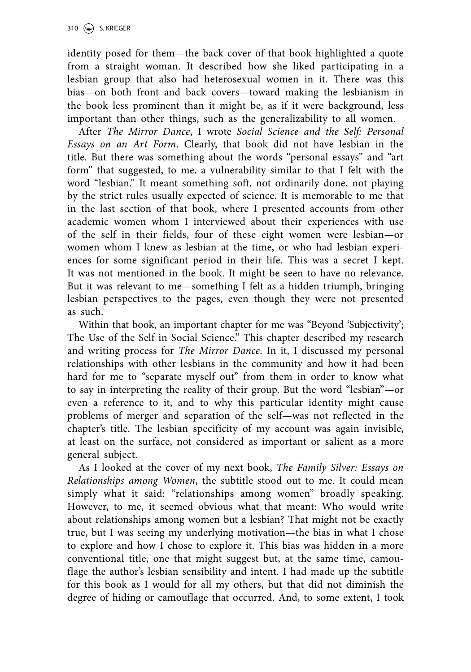identity posed for them—the back cover of that book highlighted a quote from a straight woman. It described how she liked participating in a lesbian group that also had heterosexual women in it. There was this bias—on both front and back covers—toward making the lesbianism in the book less prominent than it might be, as if it were background, less important than other things, such as the generalizability to all women.

After *The Mirror Dance*, I wrote *Social Science and the Self: Personal Essays on an Art Form*. Clearly, that book did not have lesbian in the title. But there was something about the words "personal essays" and "art form" that suggested, to me, a vulnerability similar to that I felt with the word "lesbian." It meant something soft, not ordinarily done, not playing by the strict rules usually expected of science. It is memorable to me that in the last section of that book, where I presented accounts from other academic women whom I interviewed about their experiences with use of the self in their fields, four of these eight women were lesbian—or women whom I knew as lesbian at the time, or who had lesbian experiences for some significant period in their life. This was a secret I kept. It was not mentioned in the book. It might be seen to have no relevance. But it was relevant to me—something I felt as a hidden triumph, bringing lesbian perspectives to the pages, even though they were not presented as such.

Within that book, an important chapter for me was "Beyond 'Subjectivity'; The Use of the Self in Social Science." This chapter described my research and writing process for *The Mirror Dance*. In it, I discussed my personal relationships with other lesbians in the community and how it had been hard for me to "separate myself out" from them in order to know what to say in interpreting the reality of their group. But the word "lesbian"—or even a reference to it, and to why this particular identity might cause problems of merger and separation of the self—was not reflected in the chapter's title. The lesbian specificity of my account was again invisible, at least on the surface, not considered as important or salient as a more general subject.

As I looked at the cover of my next book, *The Family Silver: Essays on Relationships among Women*, the subtitle stood out to me. It could mean simply what it said: "relationships among women" broadly speaking. However, to me, it seemed obvious what that meant: Who would write about relationships among women but a lesbian? That might not be exactly true, but I was seeing my underlying motivation—the bias in what I chose to explore and how I chose to explore it. This bias was hidden in a more conventional title, one that might suggest but, at the same time, camouflage the author's lesbian sensibility and intent. I had made up the subtitle for this book as I would for all my others, but that did not diminish the degree of hiding or camouflage that occurred. And, to some extent, I took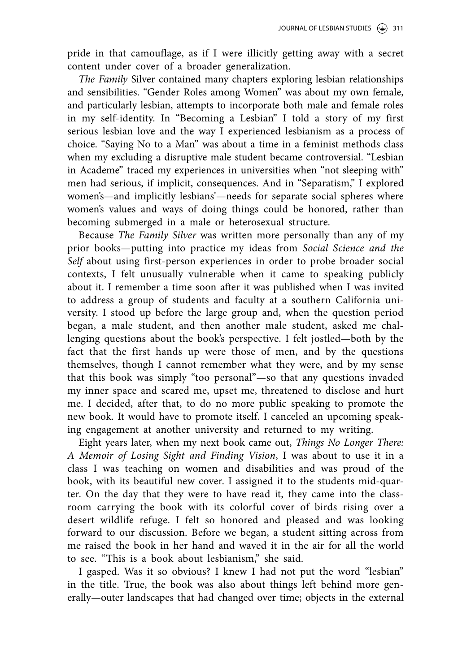pride in that camouflage, as if I were illicitly getting away with a secret content under cover of a broader generalization.

*The Family* Silver contained many chapters exploring lesbian relationships and sensibilities. "Gender Roles among Women" was about my own female, and particularly lesbian, attempts to incorporate both male and female roles in my self-identity. In "Becoming a Lesbian" I told a story of my first serious lesbian love and the way I experienced lesbianism as a process of choice. "Saying No to a Man" was about a time in a feminist methods class when my excluding a disruptive male student became controversial. "Lesbian in Academe" traced my experiences in universities when "not sleeping with" men had serious, if implicit, consequences. And in "Separatism," I explored women's—and implicitly lesbians'—needs for separate social spheres where women's values and ways of doing things could be honored, rather than becoming submerged in a male or heterosexual structure.

Because *The Family Silver* was written more personally than any of my prior books—putting into practice my ideas from *Social Science and the Self* about using first-person experiences in order to probe broader social contexts, I felt unusually vulnerable when it came to speaking publicly about it. I remember a time soon after it was published when I was invited to address a group of students and faculty at a southern California university. I stood up before the large group and, when the question period began, a male student, and then another male student, asked me challenging questions about the book's perspective. I felt jostled—both by the fact that the first hands up were those of men, and by the questions themselves, though I cannot remember what they were, and by my sense that this book was simply "too personal"—so that any questions invaded my inner space and scared me, upset me, threatened to disclose and hurt me. I decided, after that, to do no more public speaking to promote the new book. It would have to promote itself. I canceled an upcoming speaking engagement at another university and returned to my writing.

Eight years later, when my next book came out, *Things No Longer There: A Memoir of Losing Sight and Finding Vision*, I was about to use it in a class I was teaching on women and disabilities and was proud of the book, with its beautiful new cover. I assigned it to the students mid-quarter. On the day that they were to have read it, they came into the classroom carrying the book with its colorful cover of birds rising over a desert wildlife refuge. I felt so honored and pleased and was looking forward to our discussion. Before we began, a student sitting across from me raised the book in her hand and waved it in the air for all the world to see. "This is a book about lesbianism," she said.

I gasped. Was it so obvious? I knew I had not put the word "lesbian" in the title. True, the book was also about things left behind more generally—outer landscapes that had changed over time; objects in the external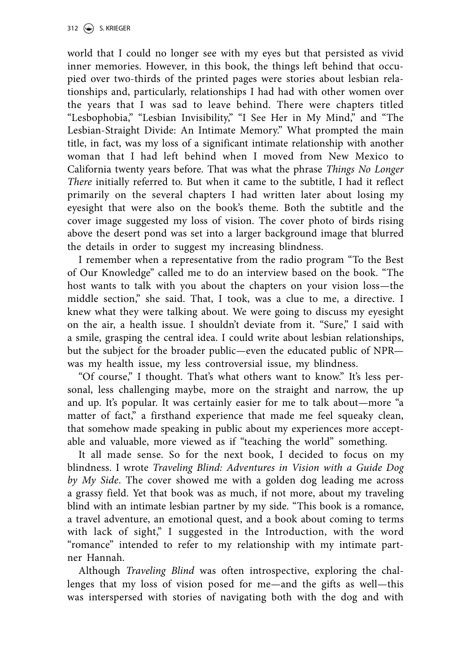world that I could no longer see with my eyes but that persisted as vivid inner memories. However, in this book, the things left behind that occupied over two-thirds of the printed pages were stories about lesbian relationships and, particularly, relationships I had had with other women over the years that I was sad to leave behind. There were chapters titled "Lesbophobia," "Lesbian Invisibility," "I See Her in My Mind," and "The Lesbian-Straight Divide: An Intimate Memory." What prompted the main title, in fact, was my loss of a significant intimate relationship with another woman that I had left behind when I moved from New Mexico to California twenty years before. That was what the phrase *Things No Longer There* initially referred to. But when it came to the subtitle, I had it reflect primarily on the several chapters I had written later about losing my eyesight that were also on the book's theme. Both the subtitle and the cover image suggested my loss of vision. The cover photo of birds rising above the desert pond was set into a larger background image that blurred the details in order to suggest my increasing blindness.

I remember when a representative from the radio program "To the Best of Our Knowledge" called me to do an interview based on the book. "The host wants to talk with you about the chapters on your vision loss—the middle section," she said. That, I took, was a clue to me, a directive. I knew what they were talking about. We were going to discuss my eyesight on the air, a health issue. I shouldn't deviate from it. "Sure," I said with a smile, grasping the central idea. I could write about lesbian relationships, but the subject for the broader public—even the educated public of NPR was my health issue, my less controversial issue, my blindness.

"Of course," I thought. That's what others want to know." It's less personal, less challenging maybe, more on the straight and narrow, the up and up. It's popular. It was certainly easier for me to talk about—more "a matter of fact," a firsthand experience that made me feel squeaky clean, that somehow made speaking in public about my experiences more acceptable and valuable, more viewed as if "teaching the world" something.

It all made sense. So for the next book, I decided to focus on my blindness. I wrote *Traveling Blind: Adventures in Vision with a Guide Dog by My Side*. The cover showed me with a golden dog leading me across a grassy field. Yet that book was as much, if not more, about my traveling blind with an intimate lesbian partner by my side. "This book is a romance, a travel adventure, an emotional quest, and a book about coming to terms with lack of sight," I suggested in the Introduction, with the word "romance" intended to refer to my relationship with my intimate partner Hannah.

Although *Traveling Blind* was often introspective, exploring the challenges that my loss of vision posed for me—and the gifts as well—this was interspersed with stories of navigating both with the dog and with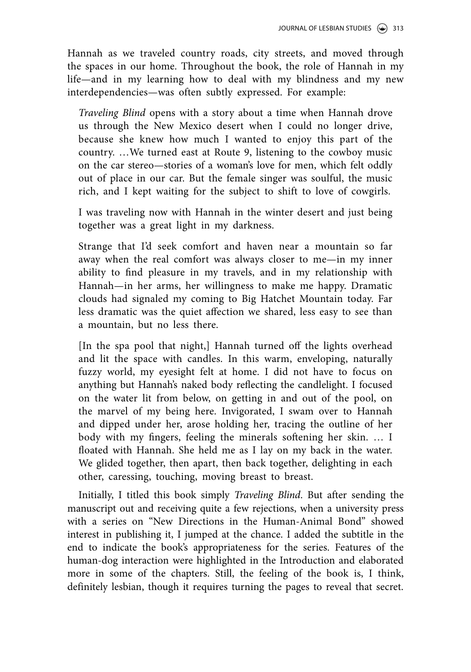Hannah as we traveled country roads, city streets, and moved through the spaces in our home. Throughout the book, the role of Hannah in my life—and in my learning how to deal with my blindness and my new interdependencies—was often subtly expressed. For example:

*Traveling Blind* opens with a story about a time when Hannah drove us through the New Mexico desert when I could no longer drive, because she knew how much I wanted to enjoy this part of the country. …We turned east at Route 9, listening to the cowboy music on the car stereo—stories of a woman's love for men, which felt oddly out of place in our car. But the female singer was soulful, the music rich, and I kept waiting for the subject to shift to love of cowgirls.

I was traveling now with Hannah in the winter desert and just being together was a great light in my darkness.

Strange that I'd seek comfort and haven near a mountain so far away when the real comfort was always closer to me—in my inner ability to find pleasure in my travels, and in my relationship with Hannah—in her arms, her willingness to make me happy. Dramatic clouds had signaled my coming to Big Hatchet Mountain today. Far less dramatic was the quiet affection we shared, less easy to see than a mountain, but no less there.

[In the spa pool that night,] Hannah turned off the lights overhead and lit the space with candles. In this warm, enveloping, naturally fuzzy world, my eyesight felt at home. I did not have to focus on anything but Hannah's naked body reflecting the candlelight. I focused on the water lit from below, on getting in and out of the pool, on the marvel of my being here. Invigorated, I swam over to Hannah and dipped under her, arose holding her, tracing the outline of her body with my fingers, feeling the minerals softening her skin. … I floated with Hannah. She held me as I lay on my back in the water. We glided together, then apart, then back together, delighting in each other, caressing, touching, moving breast to breast.

Initially, I titled this book simply *Traveling Blind*. But after sending the manuscript out and receiving quite a few rejections, when a university press with a series on "New Directions in the Human-Animal Bond" showed interest in publishing it, I jumped at the chance. I added the subtitle in the end to indicate the book's appropriateness for the series. Features of the human-dog interaction were highlighted in the Introduction and elaborated more in some of the chapters. Still, the feeling of the book is, I think, definitely lesbian, though it requires turning the pages to reveal that secret.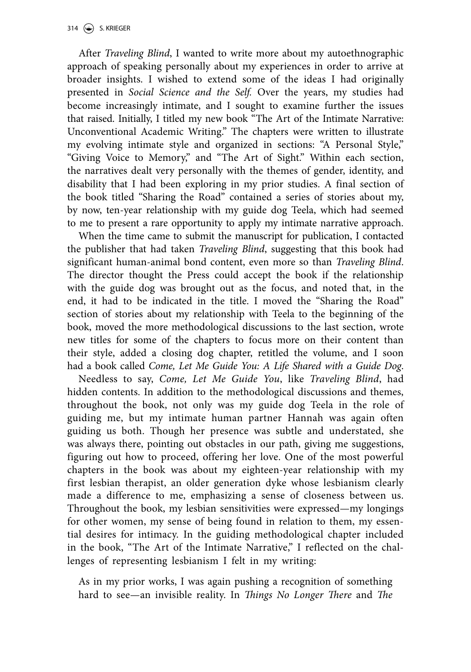After *Traveling Blind*, I wanted to write more about my autoethnographic approach of speaking personally about my experiences in order to arrive at broader insights. I wished to extend some of the ideas I had originally presented in *Social Science and the Self.* Over the years, my studies had become increasingly intimate, and I sought to examine further the issues that raised. Initially, I titled my new book "The Art of the Intimate Narrative: Unconventional Academic Writing." The chapters were written to illustrate my evolving intimate style and organized in sections: "A Personal Style," "Giving Voice to Memory," and "The Art of Sight." Within each section, the narratives dealt very personally with the themes of gender, identity, and disability that I had been exploring in my prior studies. A final section of the book titled "Sharing the Road" contained a series of stories about my, by now, ten-year relationship with my guide dog Teela, which had seemed to me to present a rare opportunity to apply my intimate narrative approach.

When the time came to submit the manuscript for publication, I contacted the publisher that had taken *Traveling Blind*, suggesting that this book had significant human-animal bond content, even more so than *Traveling Blind*. The director thought the Press could accept the book if the relationship with the guide dog was brought out as the focus, and noted that, in the end, it had to be indicated in the title. I moved the "Sharing the Road" section of stories about my relationship with Teela to the beginning of the book, moved the more methodological discussions to the last section, wrote new titles for some of the chapters to focus more on their content than their style, added a closing dog chapter, retitled the volume, and I soon had a book called *Come, Let Me Guide You: A Life Shared with a Guide Dog*.

Needless to say, *Come, Let Me Guide You*, like *Traveling Blind*, had hidden contents. In addition to the methodological discussions and themes, throughout the book, not only was my guide dog Teela in the role of guiding me, but my intimate human partner Hannah was again often guiding us both. Though her presence was subtle and understated, she was always there, pointing out obstacles in our path, giving me suggestions, figuring out how to proceed, offering her love. One of the most powerful chapters in the book was about my eighteen-year relationship with my first lesbian therapist, an older generation dyke whose lesbianism clearly made a difference to me, emphasizing a sense of closeness between us. Throughout the book, my lesbian sensitivities were expressed—my longings for other women, my sense of being found in relation to them, my essential desires for intimacy. In the guiding methodological chapter included in the book, "The Art of the Intimate Narrative," I reflected on the challenges of representing lesbianism I felt in my writing:

As in my prior works, I was again pushing a recognition of something hard to see—an invisible reality. In *Things No Longer There* and *The*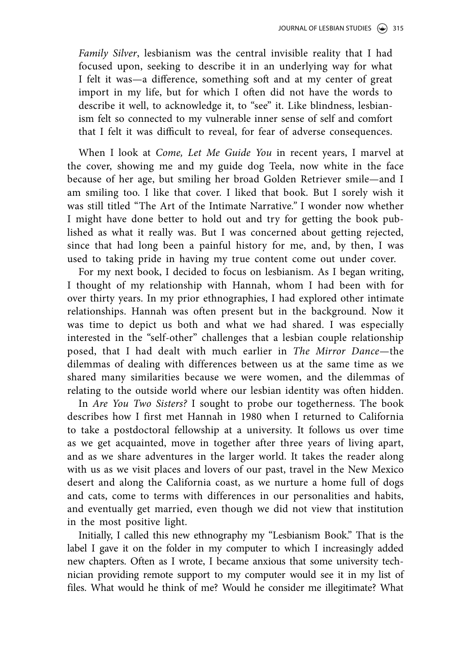*Family Silver*, lesbianism was the central invisible reality that I had focused upon, seeking to describe it in an underlying way for what I felt it was—a difference, something soft and at my center of great import in my life, but for which I often did not have the words to describe it well, to acknowledge it, to "see" it. Like blindness, lesbianism felt so connected to my vulnerable inner sense of self and comfort that I felt it was difficult to reveal, for fear of adverse consequences.

When I look at *Come, Let Me Guide You* in recent years, I marvel at the cover, showing me and my guide dog Teela, now white in the face because of her age, but smiling her broad Golden Retriever smile—and I am smiling too. I like that cover. I liked that book. But I sorely wish it was still titled "The Art of the Intimate Narrative*."* I wonder now whether I might have done better to hold out and try for getting the book published as what it really was. But I was concerned about getting rejected, since that had long been a painful history for me, and, by then, I was used to taking pride in having my true content come out under cover.

For my next book, I decided to focus on lesbianism. As I began writing, I thought of my relationship with Hannah, whom I had been with for over thirty years. In my prior ethnographies, I had explored other intimate relationships. Hannah was often present but in the background. Now it was time to depict us both and what we had shared. I was especially interested in the "self-other" challenges that a lesbian couple relationship posed, that I had dealt with much earlier in *The Mirror Dance*—the dilemmas of dealing with differences between us at the same time as we shared many similarities because we were women, and the dilemmas of relating to the outside world where our lesbian identity was often hidden.

In *Are You Two Sisters?* I sought to probe our togetherness. The book describes how I first met Hannah in 1980 when I returned to California to take a postdoctoral fellowship at a university. It follows us over time as we get acquainted, move in together after three years of living apart, and as we share adventures in the larger world. It takes the reader along with us as we visit places and lovers of our past, travel in the New Mexico desert and along the California coast, as we nurture a home full of dogs and cats, come to terms with differences in our personalities and habits, and eventually get married, even though we did not view that institution in the most positive light.

Initially, I called this new ethnography my "Lesbianism Book." That is the label I gave it on the folder in my computer to which I increasingly added new chapters. Often as I wrote, I became anxious that some university technician providing remote support to my computer would see it in my list of files. What would he think of me? Would he consider me illegitimate? What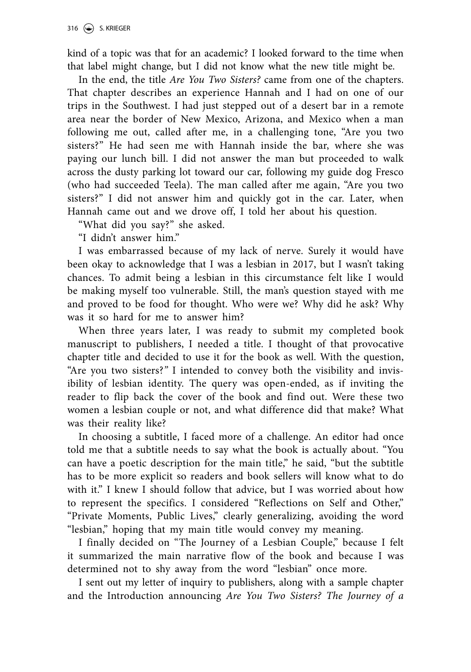kind of a topic was that for an academic? I looked forward to the time when that label might change, but I did not know what the new title might be.

In the end, the title *Are You Two Sisters?* came from one of the chapters. That chapter describes an experience Hannah and I had on one of our trips in the Southwest. I had just stepped out of a desert bar in a remote area near the border of New Mexico, Arizona, and Mexico when a man following me out, called after me, in a challenging tone, "Are you two sisters?" He had seen me with Hannah inside the bar, where she was paying our lunch bill. I did not answer the man but proceeded to walk across the dusty parking lot toward our car, following my guide dog Fresco (who had succeeded Teela). The man called after me again, "Are you two sisters?" I did not answer him and quickly got in the car. Later, when Hannah came out and we drove off, I told her about his question.

"What did you say?" she asked.

"I didn't answer him."

I was embarrassed because of my lack of nerve. Surely it would have been okay to acknowledge that I was a lesbian in 2017, but I wasn't taking chances. To admit being a lesbian in this circumstance felt like I would be making myself too vulnerable. Still, the man's question stayed with me and proved to be food for thought. Who were we? Why did he ask? Why was it so hard for me to answer him?

When three years later, I was ready to submit my completed book manuscript to publishers, I needed a title. I thought of that provocative chapter title and decided to use it for the book as well. With the question, "Are you two sisters?*"* I intended to convey both the visibility and invisibility of lesbian identity. The query was open-ended, as if inviting the reader to flip back the cover of the book and find out. Were these two women a lesbian couple or not, and what difference did that make? What was their reality like?

In choosing a subtitle, I faced more of a challenge. An editor had once told me that a subtitle needs to say what the book is actually about. "You can have a poetic description for the main title," he said, "but the subtitle has to be more explicit so readers and book sellers will know what to do with it." I knew I should follow that advice, but I was worried about how to represent the specifics. I considered "Reflections on Self and Other," "Private Moments, Public Lives," clearly generalizing, avoiding the word "lesbian," hoping that my main title would convey my meaning.

I finally decided on "The Journey of a Lesbian Couple," because I felt it summarized the main narrative flow of the book and because I was determined not to shy away from the word "lesbian" once more.

I sent out my letter of inquiry to publishers, along with a sample chapter and the Introduction announcing *Are You Two Sisters? The Journey of a*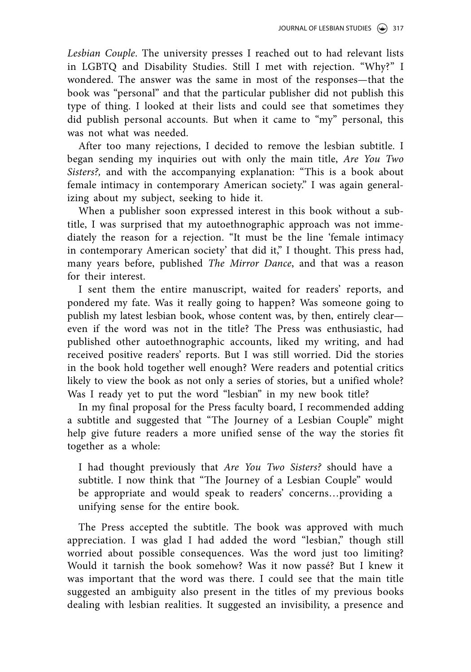*Lesbian Couple*. The university presses I reached out to had relevant lists in LGBTQ and Disability Studies. Still I met with rejection. "Why?" I wondered. The answer was the same in most of the responses—that the book was "personal" and that the particular publisher did not publish this type of thing. I looked at their lists and could see that sometimes they did publish personal accounts. But when it came to "my" personal, this was not what was needed.

After too many rejections, I decided to remove the lesbian subtitle. I began sending my inquiries out with only the main title, *Are You Two Sisters?,* and with the accompanying explanation: "This is a book about female intimacy in contemporary American society." I was again generalizing about my subject, seeking to hide it.

When a publisher soon expressed interest in this book without a subtitle, I was surprised that my autoethnographic approach was not immediately the reason for a rejection. "It must be the line 'female intimacy in contemporary American society' that did it," I thought. This press had, many years before, published *The Mirror Dance*, and that was a reason for their interest.

I sent them the entire manuscript, waited for readers' reports, and pondered my fate. Was it really going to happen? Was someone going to publish my latest lesbian book, whose content was, by then, entirely clear even if the word was not in the title? The Press was enthusiastic, had published other autoethnographic accounts, liked my writing, and had received positive readers' reports. But I was still worried. Did the stories in the book hold together well enough? Were readers and potential critics likely to view the book as not only a series of stories, but a unified whole? Was I ready yet to put the word "lesbian" in my new book title?

In my final proposal for the Press faculty board, I recommended adding a subtitle and suggested that "The Journey of a Lesbian Couple" might help give future readers a more unified sense of the way the stories fit together as a whole:

I had thought previously that *Are You Two Sisters?* should have a subtitle. I now think that "The Journey of a Lesbian Couple" would be appropriate and would speak to readers' concerns…providing a unifying sense for the entire book.

The Press accepted the subtitle. The book was approved with much appreciation. I was glad I had added the word "lesbian," though still worried about possible consequences. Was the word just too limiting? Would it tarnish the book somehow? Was it now passé? But I knew it was important that the word was there. I could see that the main title suggested an ambiguity also present in the titles of my previous books dealing with lesbian realities. It suggested an invisibility, a presence and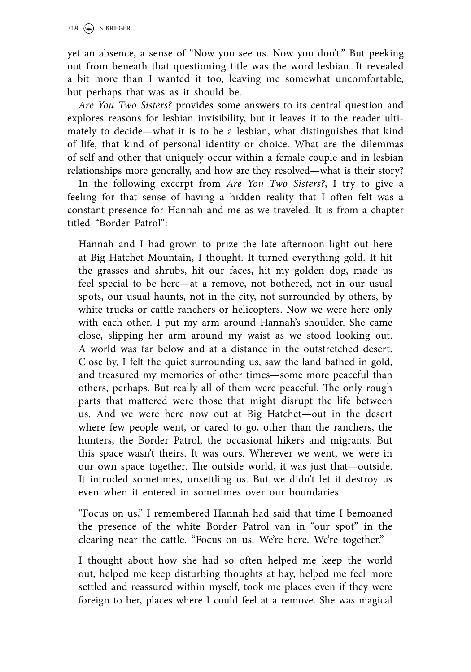yet an absence, a sense of "Now you see us. Now you don't." But peeking out from beneath that questioning title was the word lesbian. It revealed a bit more than I wanted it too, leaving me somewhat uncomfortable, but perhaps that was as it should be.

*Are You Two Sisters?* provides some answers to its central question and explores reasons for lesbian invisibility, but it leaves it to the reader ultimately to decide—what it is to be a lesbian, what distinguishes that kind of life, that kind of personal identity or choice. What are the dilemmas of self and other that uniquely occur within a female couple and in lesbian relationships more generally, and how are they resolved—what is their story?

In the following excerpt from *Are You Two Sisters?*, I try to give a feeling for that sense of having a hidden reality that I often felt was a constant presence for Hannah and me as we traveled. It is from a chapter titled "Border Patrol":

Hannah and I had grown to prize the late afternoon light out here at Big Hatchet Mountain, I thought. It turned everything gold. It hit the grasses and shrubs, hit our faces, hit my golden dog, made us feel special to be here—at a remove, not bothered, not in our usual spots, our usual haunts, not in the city, not surrounded by others, by white trucks or cattle ranchers or helicopters. Now we were here only with each other. I put my arm around Hannah's shoulder. She came close, slipping her arm around my waist as we stood looking out. A world was far below and at a distance in the outstretched desert. Close by, I felt the quiet surrounding us, saw the land bathed in gold, and treasured my memories of other times—some more peaceful than others, perhaps. But really all of them were peaceful. The only rough parts that mattered were those that might disrupt the life between us. And we were here now out at Big Hatchet—out in the desert where few people went, or cared to go, other than the ranchers, the hunters, the Border Patrol, the occasional hikers and migrants. But this space wasn't theirs. It was ours. Wherever we went, we were in our own space together. The outside world, it was just that—outside. It intruded sometimes, unsettling us. But we didn't let it destroy us even when it entered in sometimes over our boundaries.

"Focus on us," I remembered Hannah had said that time I bemoaned the presence of the white Border Patrol van in "our spot" in the clearing near the cattle. "Focus on us. We're here. We're together."

I thought about how she had so often helped me keep the world out, helped me keep disturbing thoughts at bay, helped me feel more settled and reassured within myself, took me places even if they were foreign to her, places where I could feel at a remove. She was magical